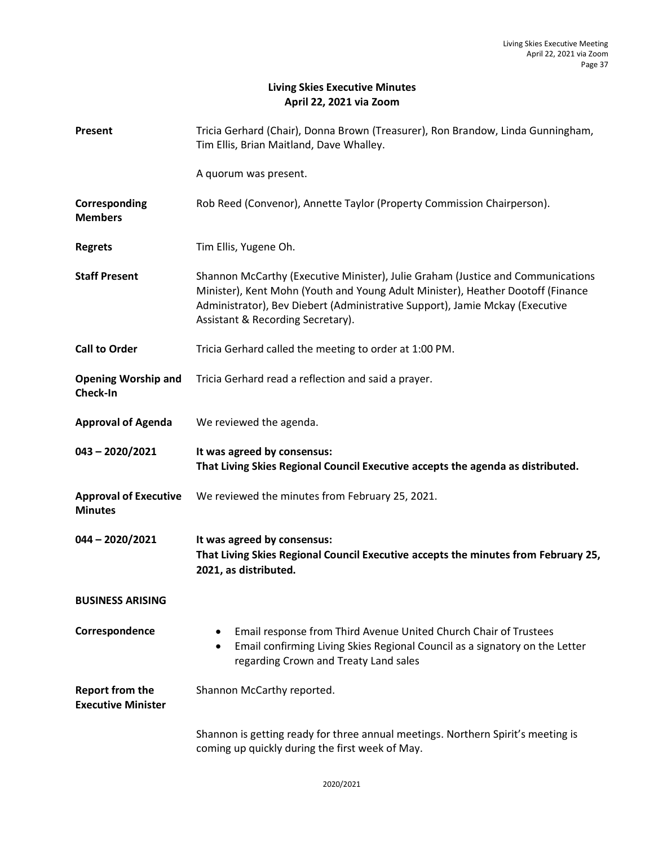# **Living Skies Executive Minutes April 22, 2021 via Zoom**

| Present                                             | Tricia Gerhard (Chair), Donna Brown (Treasurer), Ron Brandow, Linda Gunningham,<br>Tim Ellis, Brian Maitland, Dave Whalley.                                                                                                                                                             |
|-----------------------------------------------------|-----------------------------------------------------------------------------------------------------------------------------------------------------------------------------------------------------------------------------------------------------------------------------------------|
|                                                     | A quorum was present.                                                                                                                                                                                                                                                                   |
| Corresponding<br><b>Members</b>                     | Rob Reed (Convenor), Annette Taylor (Property Commission Chairperson).                                                                                                                                                                                                                  |
| <b>Regrets</b>                                      | Tim Ellis, Yugene Oh.                                                                                                                                                                                                                                                                   |
| <b>Staff Present</b>                                | Shannon McCarthy (Executive Minister), Julie Graham (Justice and Communications<br>Minister), Kent Mohn (Youth and Young Adult Minister), Heather Dootoff (Finance<br>Administrator), Bev Diebert (Administrative Support), Jamie Mckay (Executive<br>Assistant & Recording Secretary). |
| <b>Call to Order</b>                                | Tricia Gerhard called the meeting to order at 1:00 PM.                                                                                                                                                                                                                                  |
| <b>Opening Worship and</b><br>Check-In              | Tricia Gerhard read a reflection and said a prayer.                                                                                                                                                                                                                                     |
| <b>Approval of Agenda</b>                           | We reviewed the agenda.                                                                                                                                                                                                                                                                 |
|                                                     |                                                                                                                                                                                                                                                                                         |
| $043 - 2020/2021$                                   | It was agreed by consensus:<br>That Living Skies Regional Council Executive accepts the agenda as distributed.                                                                                                                                                                          |
| <b>Approval of Executive</b><br><b>Minutes</b>      | We reviewed the minutes from February 25, 2021.                                                                                                                                                                                                                                         |
| $044 - 2020/2021$                                   | It was agreed by consensus:<br>That Living Skies Regional Council Executive accepts the minutes from February 25,<br>2021, as distributed.                                                                                                                                              |
| <b>BUSINESS ARISING</b>                             |                                                                                                                                                                                                                                                                                         |
| Correspondence                                      | Email response from Third Avenue United Church Chair of Trustees<br>Email confirming Living Skies Regional Council as a signatory on the Letter<br>٠<br>regarding Crown and Treaty Land sales                                                                                           |
| <b>Report from the</b><br><b>Executive Minister</b> | Shannon McCarthy reported.                                                                                                                                                                                                                                                              |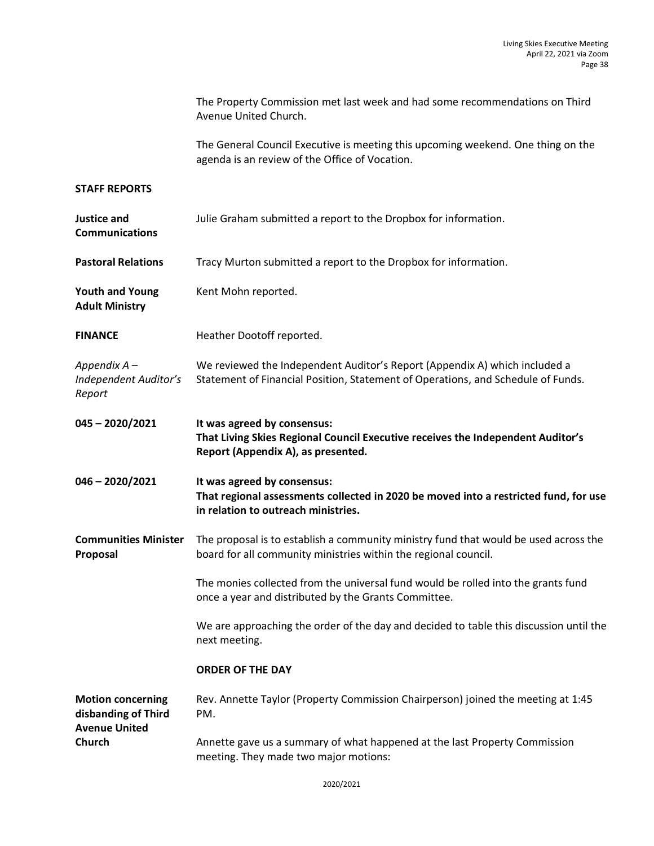The Property Commission met last week and had some recommendations on Third Avenue United Church.

The General Council Executive is meeting this upcoming weekend. One thing on the agenda is an review of the Office of Vocation.

### **STAFF REPORTS**

| <b>Justice and</b><br><b>Communications</b>                             | Julie Graham submitted a report to the Dropbox for information.                                                                                                |
|-------------------------------------------------------------------------|----------------------------------------------------------------------------------------------------------------------------------------------------------------|
| <b>Pastoral Relations</b>                                               | Tracy Murton submitted a report to the Dropbox for information.                                                                                                |
| <b>Youth and Young</b><br><b>Adult Ministry</b>                         | Kent Mohn reported.                                                                                                                                            |
| <b>FINANCE</b>                                                          | Heather Dootoff reported.                                                                                                                                      |
| Appendix A -<br>Independent Auditor's<br>Report                         | We reviewed the Independent Auditor's Report (Appendix A) which included a<br>Statement of Financial Position, Statement of Operations, and Schedule of Funds. |
| 045-2020/2021                                                           | It was agreed by consensus:<br>That Living Skies Regional Council Executive receives the Independent Auditor's<br>Report (Appendix A), as presented.           |
| $046 - 2020/2021$                                                       | It was agreed by consensus:<br>That regional assessments collected in 2020 be moved into a restricted fund, for use<br>in relation to outreach ministries.     |
| <b>Communities Minister</b><br>Proposal                                 | The proposal is to establish a community ministry fund that would be used across the<br>board for all community ministries within the regional council.        |
|                                                                         | The monies collected from the universal fund would be rolled into the grants fund<br>once a year and distributed by the Grants Committee.                      |
|                                                                         | We are approaching the order of the day and decided to table this discussion until the<br>next meeting.                                                        |
|                                                                         | <b>ORDER OF THE DAY</b>                                                                                                                                        |
| <b>Motion concerning</b><br>disbanding of Third<br><b>Avenue United</b> | Rev. Annette Taylor (Property Commission Chairperson) joined the meeting at 1:45<br>PM.                                                                        |
| <b>Church</b>                                                           | Annette gave us a summary of what happened at the last Property Commission<br>meeting. They made two major motions:                                            |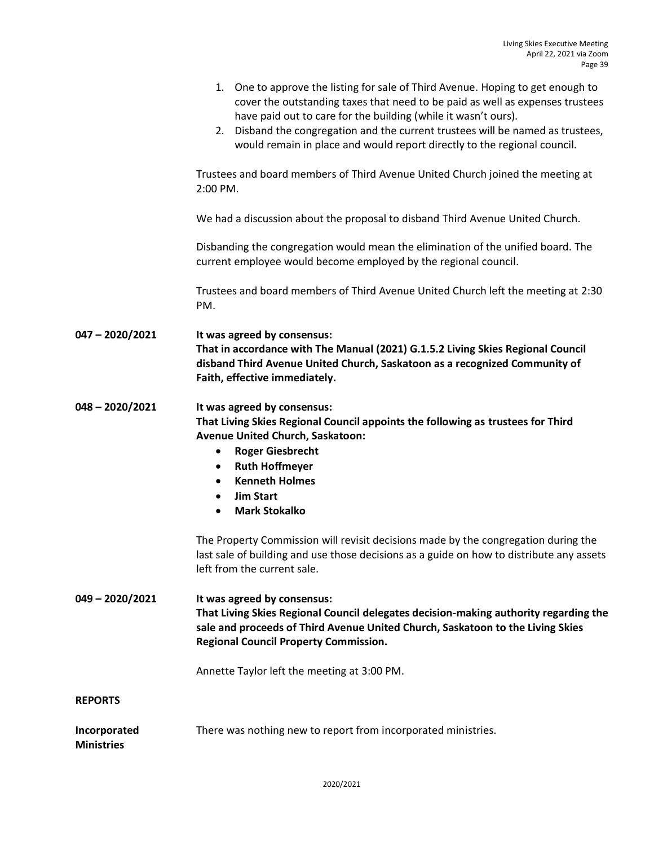|                                   | 1. One to approve the listing for sale of Third Avenue. Hoping to get enough to<br>cover the outstanding taxes that need to be paid as well as expenses trustees<br>have paid out to care for the building (while it wasn't ours).<br>2. Disband the congregation and the current trustees will be named as trustees,<br>would remain in place and would report directly to the regional council.<br>Trustees and board members of Third Avenue United Church joined the meeting at<br>2:00 PM. |
|-----------------------------------|-------------------------------------------------------------------------------------------------------------------------------------------------------------------------------------------------------------------------------------------------------------------------------------------------------------------------------------------------------------------------------------------------------------------------------------------------------------------------------------------------|
|                                   | We had a discussion about the proposal to disband Third Avenue United Church.                                                                                                                                                                                                                                                                                                                                                                                                                   |
|                                   | Disbanding the congregation would mean the elimination of the unified board. The<br>current employee would become employed by the regional council.                                                                                                                                                                                                                                                                                                                                             |
|                                   | Trustees and board members of Third Avenue United Church left the meeting at 2:30<br>PM.                                                                                                                                                                                                                                                                                                                                                                                                        |
| $047 - 2020/2021$                 | It was agreed by consensus:<br>That in accordance with The Manual (2021) G.1.5.2 Living Skies Regional Council<br>disband Third Avenue United Church, Saskatoon as a recognized Community of<br>Faith, effective immediately.                                                                                                                                                                                                                                                                   |
| $048 - 2020/2021$                 | It was agreed by consensus:<br>That Living Skies Regional Council appoints the following as trustees for Third<br>Avenue United Church, Saskatoon:<br><b>Roger Giesbrecht</b><br>$\bullet$<br><b>Ruth Hoffmeyer</b><br>$\bullet$<br><b>Kenneth Holmes</b><br>$\bullet$<br><b>Jim Start</b><br>$\bullet$<br><b>Mark Stokalko</b><br>$\bullet$                                                                                                                                                    |
|                                   | The Property Commission will revisit decisions made by the congregation during the<br>last sale of building and use those decisions as a guide on how to distribute any assets<br>left from the current sale.                                                                                                                                                                                                                                                                                   |
| $049 - 2020/2021$                 | It was agreed by consensus:<br>That Living Skies Regional Council delegates decision-making authority regarding the<br>sale and proceeds of Third Avenue United Church, Saskatoon to the Living Skies<br><b>Regional Council Property Commission.</b>                                                                                                                                                                                                                                           |
|                                   | Annette Taylor left the meeting at 3:00 PM.                                                                                                                                                                                                                                                                                                                                                                                                                                                     |
| <b>REPORTS</b>                    |                                                                                                                                                                                                                                                                                                                                                                                                                                                                                                 |
| Incorporated<br><b>Ministries</b> | There was nothing new to report from incorporated ministries.                                                                                                                                                                                                                                                                                                                                                                                                                                   |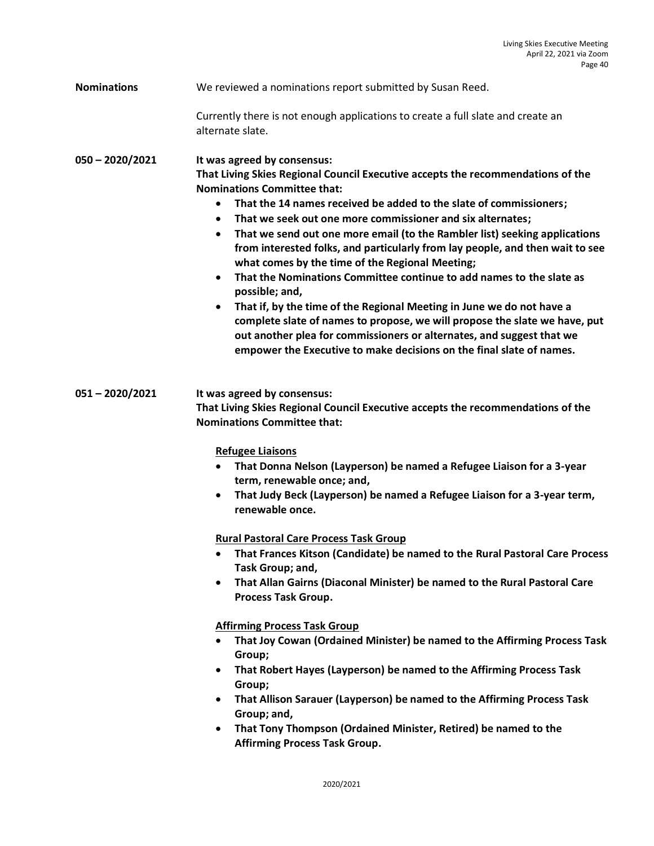# **Nominations** We reviewed a nominations report submitted by Susan Reed.

Currently there is not enough applications to create a full slate and create an alternate slate.

**050 – 2020/2021 It was agreed by consensus: That Living Skies Regional Council Executive accepts the recommendations of the Nominations Committee that:**

- **That the 14 names received be added to the slate of commissioners;**
- **That we seek out one more commissioner and six alternates;**
- **That we send out one more email (to the Rambler list) seeking applications from interested folks, and particularly from lay people, and then wait to see what comes by the time of the Regional Meeting;**
- **That the Nominations Committee continue to add names to the slate as possible; and,**
- **That if, by the time of the Regional Meeting in June we do not have a complete slate of names to propose, we will propose the slate we have, put out another plea for commissioners or alternates, and suggest that we empower the Executive to make decisions on the final slate of names.**

**051 – 2020/2021 It was agreed by consensus: That Living Skies Regional Council Executive accepts the recommendations of the Nominations Committee that:**

**Refugee Liaisons**

- **That Donna Nelson (Layperson) be named a Refugee Liaison for a 3-year term, renewable once; and,**
- **That Judy Beck (Layperson) be named a Refugee Liaison for a 3-year term, renewable once.**

#### **Rural Pastoral Care Process Task Group**

- **That Frances Kitson (Candidate) be named to the Rural Pastoral Care Process Task Group; and,**
- **That Allan Gairns (Diaconal Minister) be named to the Rural Pastoral Care Process Task Group.**

#### **Affirming Process Task Group**

- **That Joy Cowan (Ordained Minister) be named to the Affirming Process Task Group;**
- **That Robert Hayes (Layperson) be named to the Affirming Process Task Group;**
- **That Allison Sarauer (Layperson) be named to the Affirming Process Task Group; and,**
- **That Tony Thompson (Ordained Minister, Retired) be named to the Affirming Process Task Group.**